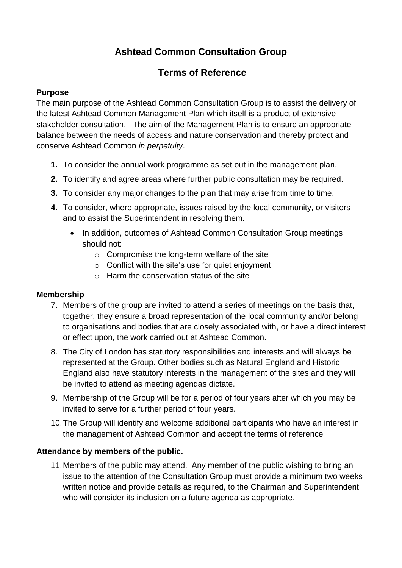# **Ashtead Common Consultation Group**

## **Terms of Reference**

## **Purpose**

The main purpose of the Ashtead Common Consultation Group is to assist the delivery of the latest Ashtead Common Management Plan which itself is a product of extensive stakeholder consultation. The aim of the Management Plan is to ensure an appropriate balance between the needs of access and nature conservation and thereby protect and conserve Ashtead Common *in perpetuity*.

- **1.** To consider the annual work programme as set out in the management plan.
- **2.** To identify and agree areas where further public consultation may be required.
- **3.** To consider any major changes to the plan that may arise from time to time.
- **4.** To consider, where appropriate, issues raised by the local community, or visitors and to assist the Superintendent in resolving them.
	- In addition, outcomes of Ashtead Common Consultation Group meetings should not:
		- o Compromise the long-term welfare of the site
		- $\circ$  Conflict with the site's use for quiet enjoyment
		- o Harm the conservation status of the site

## **Membership**

- 7. Members of the group are invited to attend a series of meetings on the basis that, together, they ensure a broad representation of the local community and/or belong to organisations and bodies that are closely associated with, or have a direct interest or effect upon, the work carried out at Ashtead Common.
- 8. The City of London has statutory responsibilities and interests and will always be represented at the Group. Other bodies such as Natural England and Historic England also have statutory interests in the management of the sites and they will be invited to attend as meeting agendas dictate.
- 9. Membership of the Group will be for a period of four years after which you may be invited to serve for a further period of four years.
- 10.The Group will identify and welcome additional participants who have an interest in the management of Ashtead Common and accept the terms of reference

## **Attendance by members of the public.**

11.Members of the public may attend. Any member of the public wishing to bring an issue to the attention of the Consultation Group must provide a minimum two weeks written notice and provide details as required, to the Chairman and Superintendent who will consider its inclusion on a future agenda as appropriate.